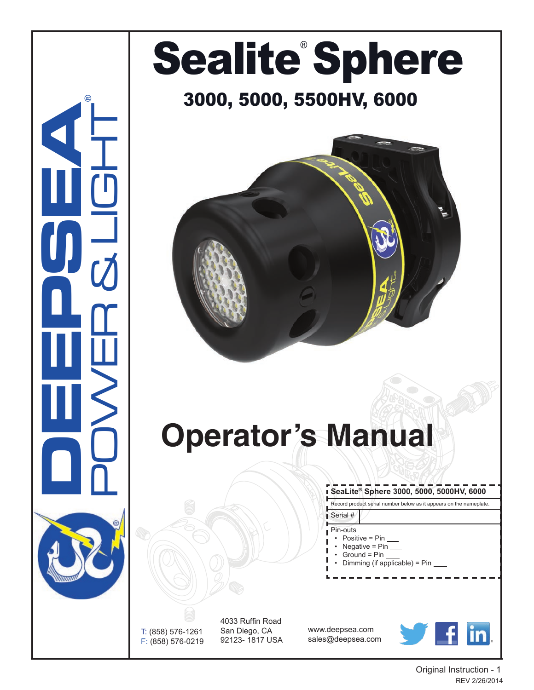## **SeaLite® Sphere 3000, 5000, 5000HV, 6000** Record product serial number below as it appears on the nameplate. Serial # Pin-outs Positive = Pin Negative =  $Pin_$  $Ground = Pin$ • Dimming (if applicable) = Pin POWER & LIGHT **Operator's Manual** Sealite<sup>®</sup> Sphere 3000, 5000, 5500HV, 6000

T: (858) 576-1261 F: (858) 576-0219

**DEEPSEA**

®

4033 Ruffin Road San Diego, CA 92123- 1817 USA

www.deepsea.com sales@deepsea.com



Original Instruction - 1 REV 2/26/2014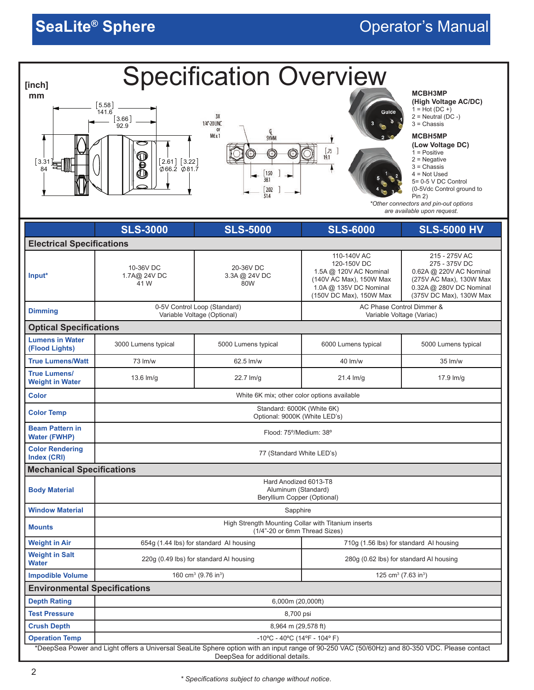| MCBH3MP<br>mm<br>(High Voltage AC/DC)<br>5.58<br>$1 = Hot (DC +)$<br>141.6<br>Guide<br>3X<br>$2 =$ Neutral (DC -)<br>[3.66]<br>1/4"-20 UNC<br>$3 =$ Chassis<br>92.9<br>or<br>M6 x 1<br><b>MCBH5MP</b><br>SYMM<br>(Low Voltage DC)<br>$\frac{1}{19.1}$<br>$1 = Positive$<br>$2$ = Negative<br>$[2.61]$ $[3.22]$<br>$[3.31] \scriptstyle{\text{min}}$<br>ē<br>$3 =$ Chassis<br>$\varphi$ 66.2 $\varphi$ 81.7<br>1.50<br>38.1<br>$4 = Not Used$<br>5= 0-5 V DC Control<br>$\frac{1}{51.4}$<br>(0-5Vdc Control ground to<br>Pin 2)<br>*Other connectors and pin-out options<br>are available upon request.<br><b>SLS-3000</b><br><b>SLS-6000</b><br><b>SLS-5000</b><br><b>SLS-5000 HV</b><br><b>Electrical Specifications</b><br>110-140V AC<br>215 - 275V AC<br>120-150V DC<br>275 - 375V DC<br>10-36V DC<br>20-36V DC<br>1.5A @ 120V AC Nominal<br>0.62A @ 220V AC Nominal<br>1.7A@ 24V DC<br>3.3A @ 24V DC<br>Input*<br>(140V AC Max), 150W Max<br>(275V AC Max), 130W Max<br>41 W<br>80W<br>1.0A @ 135V DC Nominal<br>0.32A @ 280V DC Nominal<br>(150V DC Max), 150W Max<br>(375V DC Max), 130W Max<br>0-5V Control Loop (Standard)<br>AC Phase Control Dimmer &<br><b>Dimming</b><br>Variable Voltage (Optional)<br>Variable Voltage (Variac)<br><b>Optical Specifications</b><br><b>Lumens in Water</b><br>3000 Lumens typical<br>5000 Lumens typical<br>6000 Lumens typical<br>5000 Lumens typical<br>(Flood Lights)<br><b>True Lumens/Watt</b><br>73 lm/w<br>40 lm/w<br>35 lm/w<br>62.5 lm/w<br><b>True Lumens/</b><br>22.7 lm/g<br>$21.4 \text{ Im/g}$<br>$13.6 \text{ Im/g}$<br>17.9 $Im/g$<br><b>Weight in Water</b><br><b>Color</b><br>White 6K mix; other color options available<br>Standard: 6000K (White 6K)<br><b>Color Temp</b><br>Optional: 9000K (White LED's)<br><b>Beam Pattern in</b><br>Flood: 75°/Medium: 38°<br>Water (FWHP)<br><b>Color Rendering</b><br>77 (Standard White LED's)<br>Index (CRI)<br><b>Mechanical Specifications</b><br>Hard Anodized 6013-T8<br><b>Body Material</b><br>Aluminum (Standard)<br>Beryllium Copper (Optional)<br><b>Window Material</b><br>Sapphire<br>High Strength Mounting Collar with Titanium inserts<br><b>Mounts</b><br>(1/4"-20 or 6mm Thread Sizes)<br><b>Weight in Air</b><br>654g (1.44 lbs) for standard Al housing<br>710g (1.56 lbs) for standard AI housing<br><b>Weight in Salt</b><br>220g (0.49 lbs) for standard AI housing<br>280q (0.62 lbs) for standard AI housing<br>Water<br><b>Impodible Volume</b><br>160 cm <sup>3</sup> (9.76 in <sup>3</sup> )<br>125 cm <sup>3</sup> (7.63 in <sup>3</sup> )<br><b>Environmental Specifications</b><br><b>Depth Rating</b><br>6,000m (20,000ft)<br><b>Test Pressure</b><br>8,700 psi<br><b>Crush Depth</b><br>8,964 m (29,578 ft)<br><b>Operation Temp</b><br>$-10^{\circ}$ C - 40°C (14°F - 104°F)<br>*DeepSea Power and Light offers a Universal SeaLite Sphere option with an input range of 90-250 VAC (50/60Hz) and 80-350 VDC. Please contact |        |  | <b>Specification Overview</b> |  |  |  |  |  |  |
|--------------------------------------------------------------------------------------------------------------------------------------------------------------------------------------------------------------------------------------------------------------------------------------------------------------------------------------------------------------------------------------------------------------------------------------------------------------------------------------------------------------------------------------------------------------------------------------------------------------------------------------------------------------------------------------------------------------------------------------------------------------------------------------------------------------------------------------------------------------------------------------------------------------------------------------------------------------------------------------------------------------------------------------------------------------------------------------------------------------------------------------------------------------------------------------------------------------------------------------------------------------------------------------------------------------------------------------------------------------------------------------------------------------------------------------------------------------------------------------------------------------------------------------------------------------------------------------------------------------------------------------------------------------------------------------------------------------------------------------------------------------------------------------------------------------------------------------------------------------------------------------------------------------------------------------------------------------------------------------------------------------------------------------------------------------------------------------------------------------------------------------------------------------------------------------------------------------------------------------------------------------------------------------------------------------------------------------------------------------------------------------------------------------------------------------------------------------------------------------------------------------------------------------------------------------------------------------------------------------------------------------------------------------------------------------------------------------------------------------------------------------------------------------------------------------------------------------------------------------------------------------------------------------------------------------------------------------------------|--------|--|-------------------------------|--|--|--|--|--|--|
|                                                                                                                                                                                                                                                                                                                                                                                                                                                                                                                                                                                                                                                                                                                                                                                                                                                                                                                                                                                                                                                                                                                                                                                                                                                                                                                                                                                                                                                                                                                                                                                                                                                                                                                                                                                                                                                                                                                                                                                                                                                                                                                                                                                                                                                                                                                                                                                                                                                                                                                                                                                                                                                                                                                                                                                                                                                                                                                                                                          | [inch] |  |                               |  |  |  |  |  |  |
|                                                                                                                                                                                                                                                                                                                                                                                                                                                                                                                                                                                                                                                                                                                                                                                                                                                                                                                                                                                                                                                                                                                                                                                                                                                                                                                                                                                                                                                                                                                                                                                                                                                                                                                                                                                                                                                                                                                                                                                                                                                                                                                                                                                                                                                                                                                                                                                                                                                                                                                                                                                                                                                                                                                                                                                                                                                                                                                                                                          |        |  |                               |  |  |  |  |  |  |
|                                                                                                                                                                                                                                                                                                                                                                                                                                                                                                                                                                                                                                                                                                                                                                                                                                                                                                                                                                                                                                                                                                                                                                                                                                                                                                                                                                                                                                                                                                                                                                                                                                                                                                                                                                                                                                                                                                                                                                                                                                                                                                                                                                                                                                                                                                                                                                                                                                                                                                                                                                                                                                                                                                                                                                                                                                                                                                                                                                          |        |  |                               |  |  |  |  |  |  |
|                                                                                                                                                                                                                                                                                                                                                                                                                                                                                                                                                                                                                                                                                                                                                                                                                                                                                                                                                                                                                                                                                                                                                                                                                                                                                                                                                                                                                                                                                                                                                                                                                                                                                                                                                                                                                                                                                                                                                                                                                                                                                                                                                                                                                                                                                                                                                                                                                                                                                                                                                                                                                                                                                                                                                                                                                                                                                                                                                                          |        |  |                               |  |  |  |  |  |  |
|                                                                                                                                                                                                                                                                                                                                                                                                                                                                                                                                                                                                                                                                                                                                                                                                                                                                                                                                                                                                                                                                                                                                                                                                                                                                                                                                                                                                                                                                                                                                                                                                                                                                                                                                                                                                                                                                                                                                                                                                                                                                                                                                                                                                                                                                                                                                                                                                                                                                                                                                                                                                                                                                                                                                                                                                                                                                                                                                                                          |        |  |                               |  |  |  |  |  |  |
|                                                                                                                                                                                                                                                                                                                                                                                                                                                                                                                                                                                                                                                                                                                                                                                                                                                                                                                                                                                                                                                                                                                                                                                                                                                                                                                                                                                                                                                                                                                                                                                                                                                                                                                                                                                                                                                                                                                                                                                                                                                                                                                                                                                                                                                                                                                                                                                                                                                                                                                                                                                                                                                                                                                                                                                                                                                                                                                                                                          |        |  |                               |  |  |  |  |  |  |
|                                                                                                                                                                                                                                                                                                                                                                                                                                                                                                                                                                                                                                                                                                                                                                                                                                                                                                                                                                                                                                                                                                                                                                                                                                                                                                                                                                                                                                                                                                                                                                                                                                                                                                                                                                                                                                                                                                                                                                                                                                                                                                                                                                                                                                                                                                                                                                                                                                                                                                                                                                                                                                                                                                                                                                                                                                                                                                                                                                          |        |  |                               |  |  |  |  |  |  |
|                                                                                                                                                                                                                                                                                                                                                                                                                                                                                                                                                                                                                                                                                                                                                                                                                                                                                                                                                                                                                                                                                                                                                                                                                                                                                                                                                                                                                                                                                                                                                                                                                                                                                                                                                                                                                                                                                                                                                                                                                                                                                                                                                                                                                                                                                                                                                                                                                                                                                                                                                                                                                                                                                                                                                                                                                                                                                                                                                                          |        |  |                               |  |  |  |  |  |  |
|                                                                                                                                                                                                                                                                                                                                                                                                                                                                                                                                                                                                                                                                                                                                                                                                                                                                                                                                                                                                                                                                                                                                                                                                                                                                                                                                                                                                                                                                                                                                                                                                                                                                                                                                                                                                                                                                                                                                                                                                                                                                                                                                                                                                                                                                                                                                                                                                                                                                                                                                                                                                                                                                                                                                                                                                                                                                                                                                                                          |        |  |                               |  |  |  |  |  |  |
|                                                                                                                                                                                                                                                                                                                                                                                                                                                                                                                                                                                                                                                                                                                                                                                                                                                                                                                                                                                                                                                                                                                                                                                                                                                                                                                                                                                                                                                                                                                                                                                                                                                                                                                                                                                                                                                                                                                                                                                                                                                                                                                                                                                                                                                                                                                                                                                                                                                                                                                                                                                                                                                                                                                                                                                                                                                                                                                                                                          |        |  |                               |  |  |  |  |  |  |
|                                                                                                                                                                                                                                                                                                                                                                                                                                                                                                                                                                                                                                                                                                                                                                                                                                                                                                                                                                                                                                                                                                                                                                                                                                                                                                                                                                                                                                                                                                                                                                                                                                                                                                                                                                                                                                                                                                                                                                                                                                                                                                                                                                                                                                                                                                                                                                                                                                                                                                                                                                                                                                                                                                                                                                                                                                                                                                                                                                          |        |  |                               |  |  |  |  |  |  |
|                                                                                                                                                                                                                                                                                                                                                                                                                                                                                                                                                                                                                                                                                                                                                                                                                                                                                                                                                                                                                                                                                                                                                                                                                                                                                                                                                                                                                                                                                                                                                                                                                                                                                                                                                                                                                                                                                                                                                                                                                                                                                                                                                                                                                                                                                                                                                                                                                                                                                                                                                                                                                                                                                                                                                                                                                                                                                                                                                                          |        |  |                               |  |  |  |  |  |  |
|                                                                                                                                                                                                                                                                                                                                                                                                                                                                                                                                                                                                                                                                                                                                                                                                                                                                                                                                                                                                                                                                                                                                                                                                                                                                                                                                                                                                                                                                                                                                                                                                                                                                                                                                                                                                                                                                                                                                                                                                                                                                                                                                                                                                                                                                                                                                                                                                                                                                                                                                                                                                                                                                                                                                                                                                                                                                                                                                                                          |        |  |                               |  |  |  |  |  |  |
|                                                                                                                                                                                                                                                                                                                                                                                                                                                                                                                                                                                                                                                                                                                                                                                                                                                                                                                                                                                                                                                                                                                                                                                                                                                                                                                                                                                                                                                                                                                                                                                                                                                                                                                                                                                                                                                                                                                                                                                                                                                                                                                                                                                                                                                                                                                                                                                                                                                                                                                                                                                                                                                                                                                                                                                                                                                                                                                                                                          |        |  |                               |  |  |  |  |  |  |
|                                                                                                                                                                                                                                                                                                                                                                                                                                                                                                                                                                                                                                                                                                                                                                                                                                                                                                                                                                                                                                                                                                                                                                                                                                                                                                                                                                                                                                                                                                                                                                                                                                                                                                                                                                                                                                                                                                                                                                                                                                                                                                                                                                                                                                                                                                                                                                                                                                                                                                                                                                                                                                                                                                                                                                                                                                                                                                                                                                          |        |  |                               |  |  |  |  |  |  |
|                                                                                                                                                                                                                                                                                                                                                                                                                                                                                                                                                                                                                                                                                                                                                                                                                                                                                                                                                                                                                                                                                                                                                                                                                                                                                                                                                                                                                                                                                                                                                                                                                                                                                                                                                                                                                                                                                                                                                                                                                                                                                                                                                                                                                                                                                                                                                                                                                                                                                                                                                                                                                                                                                                                                                                                                                                                                                                                                                                          |        |  |                               |  |  |  |  |  |  |
|                                                                                                                                                                                                                                                                                                                                                                                                                                                                                                                                                                                                                                                                                                                                                                                                                                                                                                                                                                                                                                                                                                                                                                                                                                                                                                                                                                                                                                                                                                                                                                                                                                                                                                                                                                                                                                                                                                                                                                                                                                                                                                                                                                                                                                                                                                                                                                                                                                                                                                                                                                                                                                                                                                                                                                                                                                                                                                                                                                          |        |  |                               |  |  |  |  |  |  |
|                                                                                                                                                                                                                                                                                                                                                                                                                                                                                                                                                                                                                                                                                                                                                                                                                                                                                                                                                                                                                                                                                                                                                                                                                                                                                                                                                                                                                                                                                                                                                                                                                                                                                                                                                                                                                                                                                                                                                                                                                                                                                                                                                                                                                                                                                                                                                                                                                                                                                                                                                                                                                                                                                                                                                                                                                                                                                                                                                                          |        |  |                               |  |  |  |  |  |  |
|                                                                                                                                                                                                                                                                                                                                                                                                                                                                                                                                                                                                                                                                                                                                                                                                                                                                                                                                                                                                                                                                                                                                                                                                                                                                                                                                                                                                                                                                                                                                                                                                                                                                                                                                                                                                                                                                                                                                                                                                                                                                                                                                                                                                                                                                                                                                                                                                                                                                                                                                                                                                                                                                                                                                                                                                                                                                                                                                                                          |        |  |                               |  |  |  |  |  |  |
|                                                                                                                                                                                                                                                                                                                                                                                                                                                                                                                                                                                                                                                                                                                                                                                                                                                                                                                                                                                                                                                                                                                                                                                                                                                                                                                                                                                                                                                                                                                                                                                                                                                                                                                                                                                                                                                                                                                                                                                                                                                                                                                                                                                                                                                                                                                                                                                                                                                                                                                                                                                                                                                                                                                                                                                                                                                                                                                                                                          |        |  |                               |  |  |  |  |  |  |
|                                                                                                                                                                                                                                                                                                                                                                                                                                                                                                                                                                                                                                                                                                                                                                                                                                                                                                                                                                                                                                                                                                                                                                                                                                                                                                                                                                                                                                                                                                                                                                                                                                                                                                                                                                                                                                                                                                                                                                                                                                                                                                                                                                                                                                                                                                                                                                                                                                                                                                                                                                                                                                                                                                                                                                                                                                                                                                                                                                          |        |  |                               |  |  |  |  |  |  |
|                                                                                                                                                                                                                                                                                                                                                                                                                                                                                                                                                                                                                                                                                                                                                                                                                                                                                                                                                                                                                                                                                                                                                                                                                                                                                                                                                                                                                                                                                                                                                                                                                                                                                                                                                                                                                                                                                                                                                                                                                                                                                                                                                                                                                                                                                                                                                                                                                                                                                                                                                                                                                                                                                                                                                                                                                                                                                                                                                                          |        |  |                               |  |  |  |  |  |  |
|                                                                                                                                                                                                                                                                                                                                                                                                                                                                                                                                                                                                                                                                                                                                                                                                                                                                                                                                                                                                                                                                                                                                                                                                                                                                                                                                                                                                                                                                                                                                                                                                                                                                                                                                                                                                                                                                                                                                                                                                                                                                                                                                                                                                                                                                                                                                                                                                                                                                                                                                                                                                                                                                                                                                                                                                                                                                                                                                                                          |        |  |                               |  |  |  |  |  |  |
|                                                                                                                                                                                                                                                                                                                                                                                                                                                                                                                                                                                                                                                                                                                                                                                                                                                                                                                                                                                                                                                                                                                                                                                                                                                                                                                                                                                                                                                                                                                                                                                                                                                                                                                                                                                                                                                                                                                                                                                                                                                                                                                                                                                                                                                                                                                                                                                                                                                                                                                                                                                                                                                                                                                                                                                                                                                                                                                                                                          |        |  |                               |  |  |  |  |  |  |
| DeepSea for additional details.                                                                                                                                                                                                                                                                                                                                                                                                                                                                                                                                                                                                                                                                                                                                                                                                                                                                                                                                                                                                                                                                                                                                                                                                                                                                                                                                                                                                                                                                                                                                                                                                                                                                                                                                                                                                                                                                                                                                                                                                                                                                                                                                                                                                                                                                                                                                                                                                                                                                                                                                                                                                                                                                                                                                                                                                                                                                                                                                          |        |  |                               |  |  |  |  |  |  |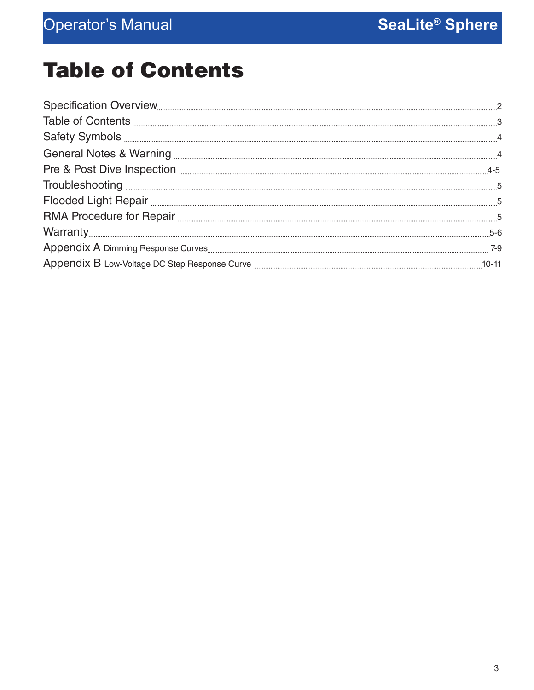## Table of Contents

| Flooded Light Repair <b>Elooded Light Repair</b> 5 |         |
|----------------------------------------------------|---------|
|                                                    |         |
|                                                    | $5 - 6$ |
|                                                    | 7-9     |
|                                                    |         |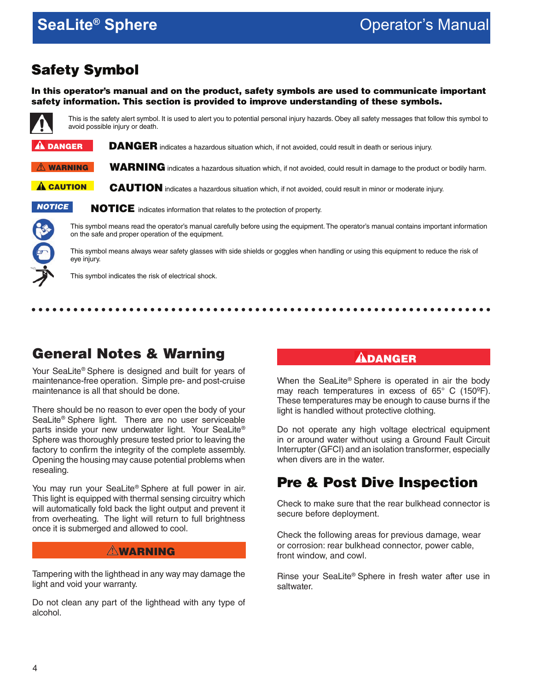### Safety Symbol

In this operator's manual and on the product, safety symbols are used to communicate important safety information. This section is provided to improve understanding of these symbols.



This is the safety alert symbol. It is used to alert you to potential personal injury hazards. Obey all safety messages that follow this symbol to avoid possible injury or death.

DANGER indicates a hazardous situation which, if not avoided, could result in death or serious injury.  $\mathbf A$  danger

WARNING indicates a hazardous situation which, if not avoided, could result in damage to the product or bodily harm.  $\mathop{\widehat{\mathbb M}}$  warning

CAUTION indicates a hazardous situation which, if not avoided, could result in minor or moderate injury. **A** CAUTION



NOTICE indicates information that relates to the protection of property.

This symbol means read the operator's manual carefully before using the equipment. The operator's manual contains important information on the safe and proper operation of the equipment.

This symbol means always wear safety glasses with side shields or goggles when handling or using this equipment to reduce the risk of eye injury.

This symbol indicates the risk of electrical shock.

### General Notes & Warning

Your SeaLite® Sphere is designed and built for years of maintenance-free operation. Simple pre- and post-cruise maintenance is all that should be done.

There should be no reason to ever open the body of your SeaLite® Sphere light. There are no user serviceable parts inside your new underwater light. Your SeaLite® Sphere was thoroughly presure tested prior to leaving the factory to confirm the integrity of the complete assembly. Opening the housing may cause potential problems when resealing.

You may run your SeaLite® Sphere at full power in air. This light is equipped with thermal sensing circuitry which will automatically fold back the light output and prevent it from overheating. The light will return to full brightness once it is submerged and allowed to cool.

#### **AWARNING**

Tampering with the lighthead in any way may damage the light and void your warranty.

Do not clean any part of the lighthead with any type of alcohol.

#### ${\bf A}$ danger

...............

When the SeaLite® Sphere is operated in air the body may reach temperatures in excess of 65° C (150ºF). These temperatures may be enough to cause burns if the light is handled without protective clothing.

Do not operate any high voltage electrical equipment in or around water without using a Ground Fault Circuit Interrupter (GFCI) and an isolation transformer, especially when divers are in the water.

### Pre & Post Dive Inspection

Check to make sure that the rear bulkhead connector is secure before deployment.

Check the following areas for previous damage, wear or corrosion: rear bulkhead connector, power cable, front window, and cowl.

Rinse your SeaLite® Sphere in fresh water after use in saltwater.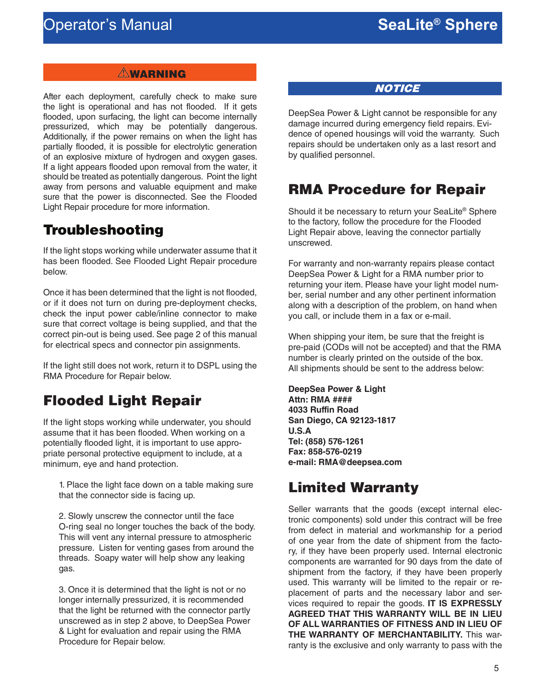#### **AWARNING**

After each deployment, carefully check to make sure the light is operational and has not flooded. If it gets flooded, upon surfacing, the light can become internally pressurized, which may be potentially dangerous. Additionally, if the power remains on when the light has partially flooded, it is possible for electrolytic generation of an explosive mixture of hydrogen and oxygen gases. If a light appears flooded upon removal from the water, it should be treated as potentially dangerous. Point the light away from persons and valuable equipment and make sure that the power is disconnected. See the Flooded Light Repair procedure for more information.

#### Troubleshooting

If the light stops working while underwater assume that it has been flooded. See Flooded Light Repair procedure below.

Once it has been determined that the light is not flooded, or if it does not turn on during pre-deployment checks, check the input power cable/inline connector to make sure that correct voltage is being supplied, and that the correct pin-out is being used. See page 2 of this manual for electrical specs and connector pin assignments.

If the light still does not work, return it to DSPL using the RMA Procedure for Repair below.

## Flooded Light Repair

If the light stops working while underwater, you should assume that it has been flooded. When working on a potentially flooded light, it is important to use appropriate personal protective equipment to include, at a minimum, eye and hand protection.

1. Place the light face down on a table making sure that the connector side is facing up.

2. Slowly unscrew the connector until the face O-ring seal no longer touches the back of the body. This will vent any internal pressure to atmospheric pressure. Listen for venting gases from around the threads. Soapy water will help show any leaking gas.

3. Once it is determined that the light is not or no longer internally pressurized, it is recommended that the light be returned with the connector partly unscrewed as in step 2 above, to DeepSea Power & Light for evaluation and repair using the RMA Procedure for Repair below.

**NOTICE** 

DeepSea Power & Light cannot be responsible for any damage incurred during emergency field repairs. Evidence of opened housings will void the warranty. Such repairs should be undertaken only as a last resort and by qualified personnel.

### RMA Procedure for Repair

Should it be necessary to return your SeaLite® Sphere to the factory, follow the procedure for the Flooded Light Repair above, leaving the connector partially unscrewed.

For warranty and non-warranty repairs please contact DeepSea Power & Light for a RMA number prior to returning your item. Please have your light model number, serial number and any other pertinent information along with a description of the problem, on hand when you call, or include them in a fax or e-mail.

When shipping your item, be sure that the freight is pre-paid (CODs will not be accepted) and that the RMA number is clearly printed on the outside of the box. All shipments should be sent to the address below:

**DeepSea Power & Light Attn: RMA #### 4033 Ruffin Road San Diego, CA 92123-1817 U.S.A Tel: (858) 576-1261 Fax: 858-576-0219 e-mail: RMA@deepsea.com**

### Limited Warranty

Seller warrants that the goods (except internal electronic components) sold under this contract will be free from defect in material and workmanship for a period of one year from the date of shipment from the factory, if they have been properly used. Internal electronic components are warranted for 90 days from the date of shipment from the factory, if they have been properly used. This warranty will be limited to the repair or replacement of parts and the necessary labor and services required to repair the goods. **IT IS EXPRESSLY AGREED THAT THIS WARRANTY WILL BE IN LIEU OF ALL WARRANTIES OF FITNESS AND IN LIEU OF THE WARRANTY OF MERCHANTABILITY.** This warranty is the exclusive and only warranty to pass with the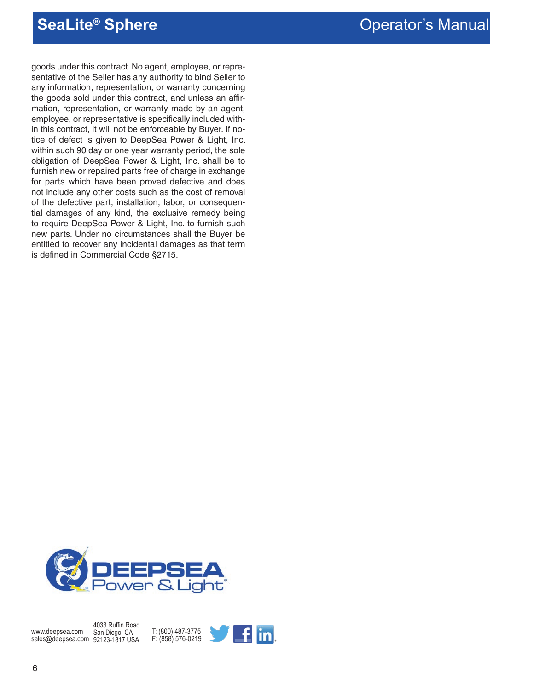goods under this contract. No agent, employee, or representative of the Seller has any authority to bind Seller to any information, representation, or warranty concerning the goods sold under this contract, and unless an affirmation, representation, or warranty made by an agent, employee, or representative is specifically included within this contract, it will not be enforceable by Buyer. If notice of defect is given to DeepSea Power & Light, Inc. within such 90 day or one year warranty period, the sole obligation of DeepSea Power & Light, Inc. shall be to furnish new or repaired parts free of charge in exchange for parts which have been proved defective and does not include any other costs such as the cost of removal of the defective part, installation, labor, or consequential damages of any kind, the exclusive remedy being to require DeepSea Power & Light, Inc. to furnish such new parts. Under no circumstances shall the Buyer be entitled to recover any incidental damages as that term is defined in Commercial Code §2715.

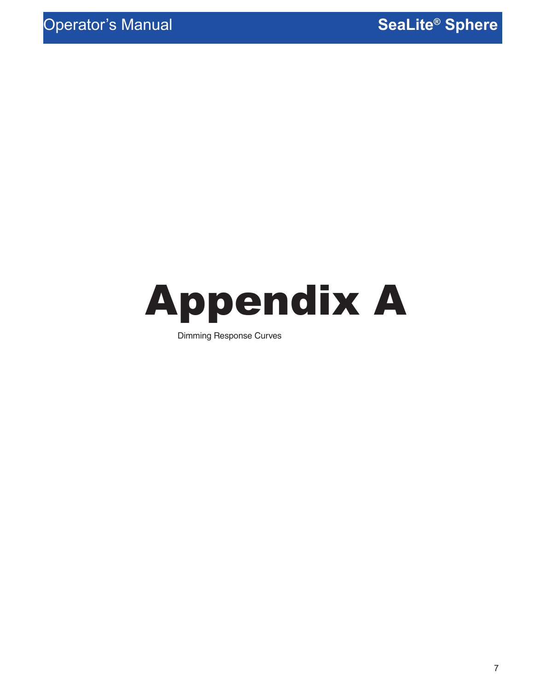

Dimming Response Curves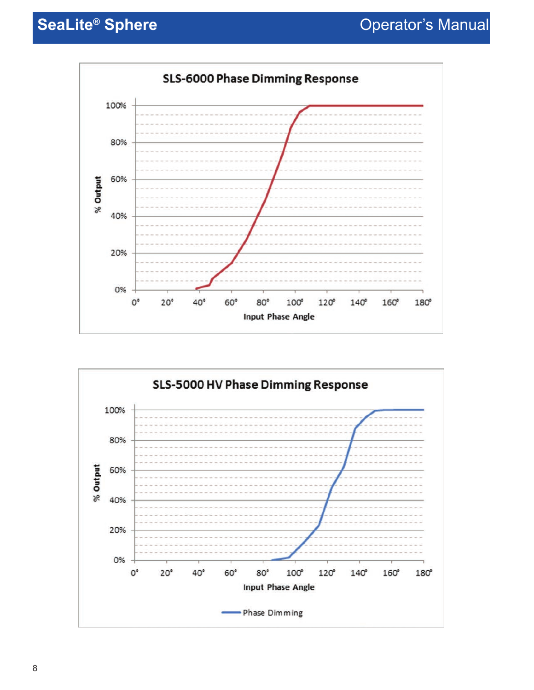

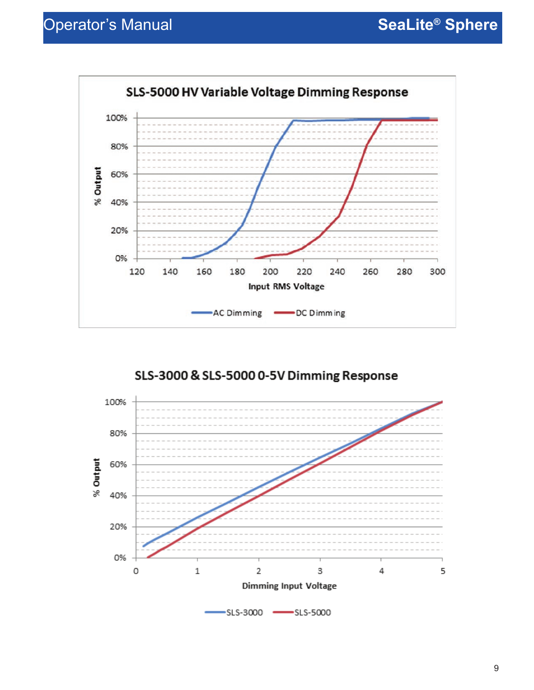

SLS-3000 & SLS-5000 0-5V Dimming Response

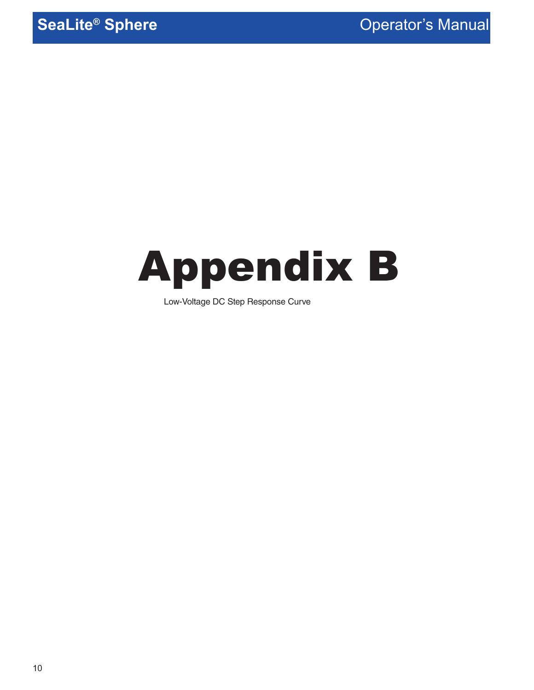# Appendix B

Low-Voltage DC Step Response Curve